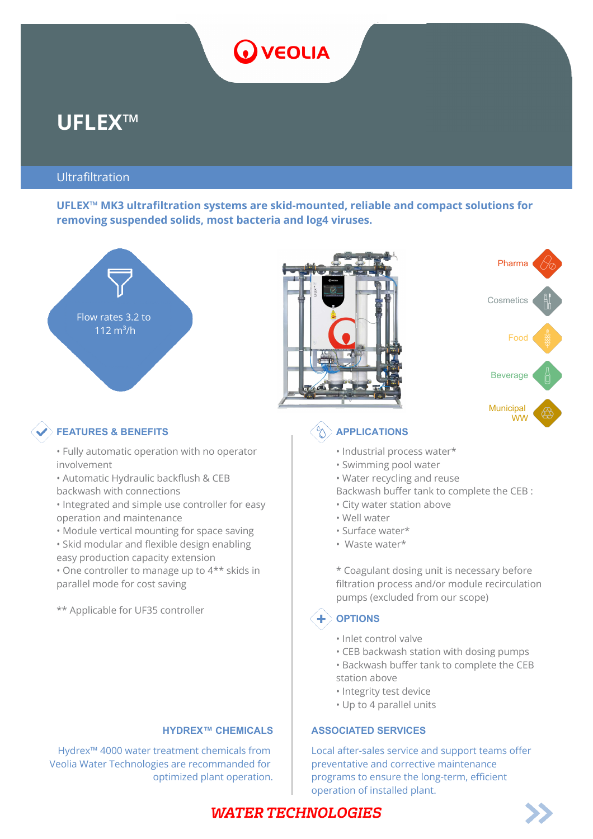# O VEOLIA

## **UFLEX™**

#### Ultrafiltration

**UFLEX™ MK3 ultrafiltration systems are skid-mounted, reliable and compact solutions for removing suspended solids, most bacteria and log4 viruses.**







### **FEATURES & BENEFITS** APPLICATIONS

- Fully automatic operation with no operator involvement
- Automatic Hydraulic backflush & CEB
- backwash with connections
- Integrated and simple use controller for easy operation and maintenance
- Module vertical mounting for space saving
- Skid modular and flexible design enabling easy production capacity extension
- One controller to manage up to 4\*\* skids in parallel mode for cost saving

\*\* Applicable for UF35 controller

Hydrex™ 4000 water treatment chemicals from Veolia Water Technologies are recommanded for optimized plant operation.

- Industrial process water\*
- Swimming pool water
- Water recycling and reuse
- Backwash buffer tank to complete the CEB :
- City water station above
- Well water
- Surface water\*
- Waste water\*

\* Coagulant dosing unit is necessary before filtration process and/or module recirculation pumps (excluded from our scope)

### **OPTIONS**

- Inlet control valve
- CEB backwash station with dosing pumps
- Backwash buffer tank to complete the CEB
- station above
- Integrity test device
- Up to 4 parallel units

#### **HYDREX™ CHEMICALS ASSOCIATED SERVICES**

Local after-sales service and support teams offer preventative and corrective maintenance programs to ensure the long-term, efficient operation of installed plant.

### **WATER TECHNOLOGIES**